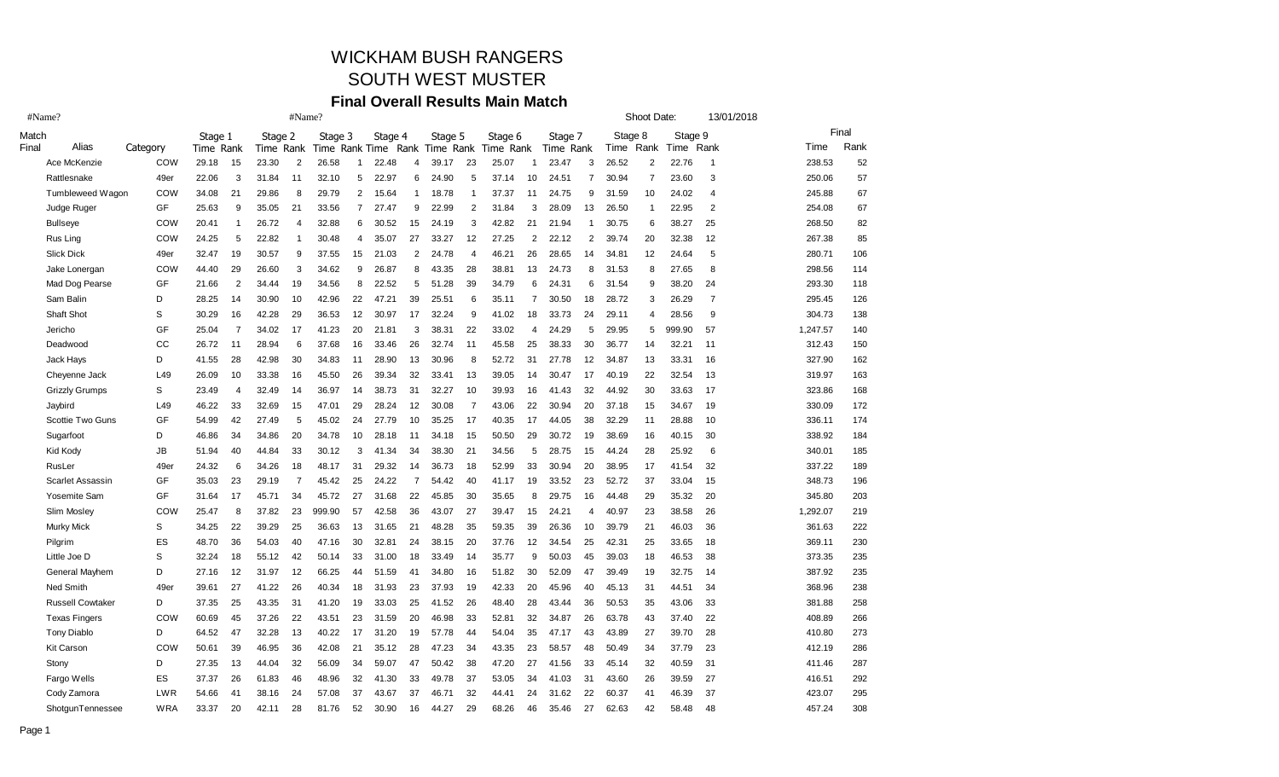# WICKHAM BUSH RANGERS

#### SOUTH WEST MUSTER

#### **Final Overall Results Main Match**

| #Name? |                                                                                                                                                                                                                                                                                                                                                                                                                                                                                                                                                                                                               |                                                                                                                                                              |                                                                                                                                     |                                                                                                                   | #Name?                                                                                                                                       |                                                                                                           |                                                                                                                                                  |                                                                                                                              |                                                                                                                            |                                                                                                                                      |                                                                                                                            |                                                                                                           |                                                                                                                                              | Shoot Date:                                                                                                                                    |                                                                                                                            |                                                                                                                          | 13/01/2018                                                                                                                 |                                                                                                                                        |                                                                                                                                     |                                                                                                                                          |                                                                                                                                                                        |
|--------|---------------------------------------------------------------------------------------------------------------------------------------------------------------------------------------------------------------------------------------------------------------------------------------------------------------------------------------------------------------------------------------------------------------------------------------------------------------------------------------------------------------------------------------------------------------------------------------------------------------|--------------------------------------------------------------------------------------------------------------------------------------------------------------|-------------------------------------------------------------------------------------------------------------------------------------|-------------------------------------------------------------------------------------------------------------------|----------------------------------------------------------------------------------------------------------------------------------------------|-----------------------------------------------------------------------------------------------------------|--------------------------------------------------------------------------------------------------------------------------------------------------|------------------------------------------------------------------------------------------------------------------------------|----------------------------------------------------------------------------------------------------------------------------|--------------------------------------------------------------------------------------------------------------------------------------|----------------------------------------------------------------------------------------------------------------------------|-----------------------------------------------------------------------------------------------------------|----------------------------------------------------------------------------------------------------------------------------------------------|------------------------------------------------------------------------------------------------------------------------------------------------|----------------------------------------------------------------------------------------------------------------------------|--------------------------------------------------------------------------------------------------------------------------|----------------------------------------------------------------------------------------------------------------------------|----------------------------------------------------------------------------------------------------------------------------------------|-------------------------------------------------------------------------------------------------------------------------------------|------------------------------------------------------------------------------------------------------------------------------------------|------------------------------------------------------------------------------------------------------------------------------------------------------------------------|
|        |                                                                                                                                                                                                                                                                                                                                                                                                                                                                                                                                                                                                               | Stage 1                                                                                                                                                      |                                                                                                                                     | Stage 2                                                                                                           |                                                                                                                                              | Stage 3                                                                                                   |                                                                                                                                                  |                                                                                                                              |                                                                                                                            | Stage 5                                                                                                                              |                                                                                                                            | Stage 6                                                                                                   |                                                                                                                                              |                                                                                                                                                |                                                                                                                            |                                                                                                                          |                                                                                                                            |                                                                                                                                        |                                                                                                                                     |                                                                                                                                          | Final                                                                                                                                                                  |
|        |                                                                                                                                                                                                                                                                                                                                                                                                                                                                                                                                                                                                               |                                                                                                                                                              |                                                                                                                                     |                                                                                                                   |                                                                                                                                              |                                                                                                           |                                                                                                                                                  |                                                                                                                              |                                                                                                                            |                                                                                                                                      |                                                                                                                            |                                                                                                           |                                                                                                                                              |                                                                                                                                                |                                                                                                                            |                                                                                                                          |                                                                                                                            |                                                                                                                                        |                                                                                                                                     |                                                                                                                                          | Rank                                                                                                                                                                   |
|        |                                                                                                                                                                                                                                                                                                                                                                                                                                                                                                                                                                                                               |                                                                                                                                                              |                                                                                                                                     |                                                                                                                   |                                                                                                                                              |                                                                                                           |                                                                                                                                                  |                                                                                                                              |                                                                                                                            |                                                                                                                                      |                                                                                                                            |                                                                                                           |                                                                                                                                              |                                                                                                                                                |                                                                                                                            |                                                                                                                          |                                                                                                                            |                                                                                                                                        |                                                                                                                                     |                                                                                                                                          | 52                                                                                                                                                                     |
|        |                                                                                                                                                                                                                                                                                                                                                                                                                                                                                                                                                                                                               |                                                                                                                                                              |                                                                                                                                     |                                                                                                                   |                                                                                                                                              |                                                                                                           |                                                                                                                                                  |                                                                                                                              |                                                                                                                            |                                                                                                                                      |                                                                                                                            |                                                                                                           |                                                                                                                                              |                                                                                                                                                |                                                                                                                            |                                                                                                                          |                                                                                                                            |                                                                                                                                        |                                                                                                                                     |                                                                                                                                          | 57                                                                                                                                                                     |
|        |                                                                                                                                                                                                                                                                                                                                                                                                                                                                                                                                                                                                               |                                                                                                                                                              |                                                                                                                                     |                                                                                                                   |                                                                                                                                              |                                                                                                           |                                                                                                                                                  |                                                                                                                              |                                                                                                                            |                                                                                                                                      |                                                                                                                            |                                                                                                           |                                                                                                                                              |                                                                                                                                                |                                                                                                                            |                                                                                                                          |                                                                                                                            |                                                                                                                                        |                                                                                                                                     |                                                                                                                                          | 67<br>67                                                                                                                                                               |
|        |                                                                                                                                                                                                                                                                                                                                                                                                                                                                                                                                                                                                               |                                                                                                                                                              |                                                                                                                                     |                                                                                                                   |                                                                                                                                              |                                                                                                           |                                                                                                                                                  |                                                                                                                              |                                                                                                                            |                                                                                                                                      |                                                                                                                            |                                                                                                           |                                                                                                                                              |                                                                                                                                                |                                                                                                                            |                                                                                                                          |                                                                                                                            |                                                                                                                                        |                                                                                                                                     |                                                                                                                                          | 82                                                                                                                                                                     |
|        |                                                                                                                                                                                                                                                                                                                                                                                                                                                                                                                                                                                                               |                                                                                                                                                              |                                                                                                                                     |                                                                                                                   |                                                                                                                                              |                                                                                                           |                                                                                                                                                  |                                                                                                                              |                                                                                                                            |                                                                                                                                      |                                                                                                                            |                                                                                                           |                                                                                                                                              |                                                                                                                                                |                                                                                                                            |                                                                                                                          |                                                                                                                            |                                                                                                                                        |                                                                                                                                     |                                                                                                                                          | 85                                                                                                                                                                     |
|        |                                                                                                                                                                                                                                                                                                                                                                                                                                                                                                                                                                                                               |                                                                                                                                                              |                                                                                                                                     |                                                                                                                   |                                                                                                                                              |                                                                                                           |                                                                                                                                                  |                                                                                                                              |                                                                                                                            |                                                                                                                                      |                                                                                                                            |                                                                                                           |                                                                                                                                              |                                                                                                                                                |                                                                                                                            |                                                                                                                          |                                                                                                                            |                                                                                                                                        |                                                                                                                                     |                                                                                                                                          | 106                                                                                                                                                                    |
|        |                                                                                                                                                                                                                                                                                                                                                                                                                                                                                                                                                                                                               |                                                                                                                                                              |                                                                                                                                     |                                                                                                                   |                                                                                                                                              |                                                                                                           |                                                                                                                                                  |                                                                                                                              |                                                                                                                            |                                                                                                                                      |                                                                                                                            |                                                                                                           |                                                                                                                                              |                                                                                                                                                |                                                                                                                            |                                                                                                                          |                                                                                                                            |                                                                                                                                        |                                                                                                                                     |                                                                                                                                          | 114                                                                                                                                                                    |
|        |                                                                                                                                                                                                                                                                                                                                                                                                                                                                                                                                                                                                               |                                                                                                                                                              |                                                                                                                                     |                                                                                                                   |                                                                                                                                              |                                                                                                           |                                                                                                                                                  |                                                                                                                              |                                                                                                                            |                                                                                                                                      |                                                                                                                            |                                                                                                           |                                                                                                                                              |                                                                                                                                                |                                                                                                                            |                                                                                                                          |                                                                                                                            |                                                                                                                                        |                                                                                                                                     |                                                                                                                                          | 118                                                                                                                                                                    |
|        |                                                                                                                                                                                                                                                                                                                                                                                                                                                                                                                                                                                                               |                                                                                                                                                              |                                                                                                                                     |                                                                                                                   |                                                                                                                                              |                                                                                                           |                                                                                                                                                  |                                                                                                                              |                                                                                                                            |                                                                                                                                      |                                                                                                                            |                                                                                                           |                                                                                                                                              |                                                                                                                                                |                                                                                                                            |                                                                                                                          |                                                                                                                            |                                                                                                                                        |                                                                                                                                     |                                                                                                                                          | 126                                                                                                                                                                    |
|        |                                                                                                                                                                                                                                                                                                                                                                                                                                                                                                                                                                                                               |                                                                                                                                                              |                                                                                                                                     |                                                                                                                   |                                                                                                                                              |                                                                                                           |                                                                                                                                                  |                                                                                                                              |                                                                                                                            |                                                                                                                                      |                                                                                                                            |                                                                                                           |                                                                                                                                              |                                                                                                                                                |                                                                                                                            |                                                                                                                          |                                                                                                                            |                                                                                                                                        |                                                                                                                                     |                                                                                                                                          | 138                                                                                                                                                                    |
|        |                                                                                                                                                                                                                                                                                                                                                                                                                                                                                                                                                                                                               |                                                                                                                                                              |                                                                                                                                     |                                                                                                                   |                                                                                                                                              |                                                                                                           |                                                                                                                                                  |                                                                                                                              |                                                                                                                            |                                                                                                                                      |                                                                                                                            |                                                                                                           |                                                                                                                                              |                                                                                                                                                |                                                                                                                            |                                                                                                                          |                                                                                                                            |                                                                                                                                        |                                                                                                                                     |                                                                                                                                          | 140                                                                                                                                                                    |
|        |                                                                                                                                                                                                                                                                                                                                                                                                                                                                                                                                                                                                               |                                                                                                                                                              |                                                                                                                                     |                                                                                                                   |                                                                                                                                              |                                                                                                           |                                                                                                                                                  |                                                                                                                              |                                                                                                                            |                                                                                                                                      |                                                                                                                            |                                                                                                           |                                                                                                                                              |                                                                                                                                                |                                                                                                                            |                                                                                                                          |                                                                                                                            |                                                                                                                                        |                                                                                                                                     |                                                                                                                                          | 150                                                                                                                                                                    |
|        |                                                                                                                                                                                                                                                                                                                                                                                                                                                                                                                                                                                                               |                                                                                                                                                              |                                                                                                                                     |                                                                                                                   |                                                                                                                                              |                                                                                                           |                                                                                                                                                  |                                                                                                                              |                                                                                                                            |                                                                                                                                      |                                                                                                                            |                                                                                                           |                                                                                                                                              |                                                                                                                                                |                                                                                                                            |                                                                                                                          |                                                                                                                            |                                                                                                                                        |                                                                                                                                     |                                                                                                                                          | 162                                                                                                                                                                    |
|        | L49                                                                                                                                                                                                                                                                                                                                                                                                                                                                                                                                                                                                           |                                                                                                                                                              | 10                                                                                                                                  |                                                                                                                   |                                                                                                                                              | 45.50                                                                                                     | 26                                                                                                                                               | 39.34                                                                                                                        | 32                                                                                                                         | 33.41                                                                                                                                | 13                                                                                                                         |                                                                                                           | 14                                                                                                                                           | 30.47                                                                                                                                          | 17                                                                                                                         | 40.19                                                                                                                    | 22                                                                                                                         | 32.54                                                                                                                                  |                                                                                                                                     |                                                                                                                                          | 163                                                                                                                                                                    |
|        | S                                                                                                                                                                                                                                                                                                                                                                                                                                                                                                                                                                                                             | 23.49                                                                                                                                                        | 4                                                                                                                                   |                                                                                                                   | 14                                                                                                                                           |                                                                                                           | 14                                                                                                                                               | 38.73                                                                                                                        | 31                                                                                                                         | 32.27                                                                                                                                | 10                                                                                                                         |                                                                                                           |                                                                                                                                              | 41.43                                                                                                                                          | 32                                                                                                                         | 44.92                                                                                                                    | 30                                                                                                                         | 33.63                                                                                                                                  | 17                                                                                                                                  |                                                                                                                                          | 168                                                                                                                                                                    |
|        | L49                                                                                                                                                                                                                                                                                                                                                                                                                                                                                                                                                                                                           | 46.22                                                                                                                                                        | 33                                                                                                                                  | 32.69                                                                                                             | 15                                                                                                                                           | 47.01                                                                                                     | 29                                                                                                                                               | 28.24                                                                                                                        | 12                                                                                                                         | 30.08                                                                                                                                | $\overline{7}$                                                                                                             | 43.06                                                                                                     | 22                                                                                                                                           | 30.94                                                                                                                                          | 20                                                                                                                         | 37.18                                                                                                                    | 15                                                                                                                         | 34.67                                                                                                                                  | 19                                                                                                                                  | 330.09                                                                                                                                   | 172                                                                                                                                                                    |
|        | GF                                                                                                                                                                                                                                                                                                                                                                                                                                                                                                                                                                                                            | 54.99                                                                                                                                                        | 42                                                                                                                                  | 27.49                                                                                                             | 5                                                                                                                                            | 45.02                                                                                                     | 24                                                                                                                                               | 27.79                                                                                                                        | 10                                                                                                                         | 35.25                                                                                                                                | 17                                                                                                                         | 40.35                                                                                                     | 17                                                                                                                                           | 44.05                                                                                                                                          | 38                                                                                                                         | 32.29                                                                                                                    | 11                                                                                                                         | 28.88                                                                                                                                  | 10                                                                                                                                  | 336.11                                                                                                                                   | 174                                                                                                                                                                    |
|        | D                                                                                                                                                                                                                                                                                                                                                                                                                                                                                                                                                                                                             | 46.86                                                                                                                                                        | 34                                                                                                                                  | 34.86                                                                                                             | 20                                                                                                                                           | 34.78                                                                                                     | 10                                                                                                                                               | 28.18                                                                                                                        | 11                                                                                                                         | 34.18                                                                                                                                | 15                                                                                                                         | 50.50                                                                                                     | 29                                                                                                                                           | 30.72                                                                                                                                          | 19                                                                                                                         | 38.69                                                                                                                    | 16                                                                                                                         | 40.15                                                                                                                                  | 30                                                                                                                                  | 338.92                                                                                                                                   | 184                                                                                                                                                                    |
|        | <b>JB</b>                                                                                                                                                                                                                                                                                                                                                                                                                                                                                                                                                                                                     | 51.94                                                                                                                                                        | 40                                                                                                                                  | 44.84                                                                                                             | 33                                                                                                                                           | 30.12                                                                                                     | 3                                                                                                                                                | 41.34                                                                                                                        | 34                                                                                                                         | 38.30                                                                                                                                | 21                                                                                                                         | 34.56                                                                                                     | 5                                                                                                                                            | 28.75                                                                                                                                          | 15                                                                                                                         | 44.24                                                                                                                    | 28                                                                                                                         | 25.92                                                                                                                                  | 6                                                                                                                                   | 340.01                                                                                                                                   | 185                                                                                                                                                                    |
|        | 49er                                                                                                                                                                                                                                                                                                                                                                                                                                                                                                                                                                                                          | 24.32                                                                                                                                                        | 6                                                                                                                                   | 34.26                                                                                                             | 18                                                                                                                                           | 48.17                                                                                                     | 31                                                                                                                                               | 29.32                                                                                                                        | 14                                                                                                                         | 36.73                                                                                                                                | 18                                                                                                                         | 52.99                                                                                                     | 33                                                                                                                                           | 30.94                                                                                                                                          | 20                                                                                                                         | 38.95                                                                                                                    | 17                                                                                                                         | 41.54                                                                                                                                  | 32                                                                                                                                  | 337.22                                                                                                                                   | 189                                                                                                                                                                    |
|        | GF                                                                                                                                                                                                                                                                                                                                                                                                                                                                                                                                                                                                            | 35.03                                                                                                                                                        | 23                                                                                                                                  | 29.19                                                                                                             | $\overline{7}$                                                                                                                               | 45.42                                                                                                     | 25                                                                                                                                               | 24.22                                                                                                                        | $\overline{7}$                                                                                                             | 54.42                                                                                                                                | 40                                                                                                                         | 41.17                                                                                                     | 19                                                                                                                                           | 33.52                                                                                                                                          | 23                                                                                                                         | 52.72                                                                                                                    | 37                                                                                                                         | 33.04                                                                                                                                  | 15                                                                                                                                  | 348.73                                                                                                                                   | 196                                                                                                                                                                    |
|        | GF                                                                                                                                                                                                                                                                                                                                                                                                                                                                                                                                                                                                            | 31.64                                                                                                                                                        | 17                                                                                                                                  | 45.71                                                                                                             | 34                                                                                                                                           | 45.72                                                                                                     | 27                                                                                                                                               | 31.68                                                                                                                        | 22                                                                                                                         | 45.85                                                                                                                                | 30                                                                                                                         | 35.65                                                                                                     | 8                                                                                                                                            | 29.75                                                                                                                                          | 16                                                                                                                         | 44.48                                                                                                                    | 29                                                                                                                         | 35.32                                                                                                                                  | 20                                                                                                                                  | 345.80                                                                                                                                   | 203                                                                                                                                                                    |
|        | COW                                                                                                                                                                                                                                                                                                                                                                                                                                                                                                                                                                                                           | 25.47                                                                                                                                                        | 8                                                                                                                                   | 37.82                                                                                                             | 23                                                                                                                                           | 999.90                                                                                                    | 57                                                                                                                                               | 42.58                                                                                                                        | 36                                                                                                                         | 43.07                                                                                                                                | 27                                                                                                                         | 39.47                                                                                                     | 15                                                                                                                                           | 24.21                                                                                                                                          | 4                                                                                                                          | 40.97                                                                                                                    | 23                                                                                                                         | 38.58                                                                                                                                  | 26                                                                                                                                  | 1,292.07                                                                                                                                 | 219                                                                                                                                                                    |
|        | S                                                                                                                                                                                                                                                                                                                                                                                                                                                                                                                                                                                                             | 34.25                                                                                                                                                        | 22                                                                                                                                  | 39.29                                                                                                             | 25                                                                                                                                           | 36.63                                                                                                     | 13                                                                                                                                               | 31.65                                                                                                                        | 21                                                                                                                         | 48.28                                                                                                                                | 35                                                                                                                         | 59.35                                                                                                     | 39                                                                                                                                           | 26.36                                                                                                                                          | 10                                                                                                                         | 39.79                                                                                                                    | 21                                                                                                                         | 46.03                                                                                                                                  | 36                                                                                                                                  | 361.63                                                                                                                                   | 222                                                                                                                                                                    |
|        | ES                                                                                                                                                                                                                                                                                                                                                                                                                                                                                                                                                                                                            | 48.70                                                                                                                                                        | 36                                                                                                                                  | 54.03                                                                                                             | 40                                                                                                                                           | 47.16                                                                                                     | 30                                                                                                                                               | 32.81                                                                                                                        | 24                                                                                                                         | 38.15                                                                                                                                | 20                                                                                                                         | 37.76                                                                                                     | 12                                                                                                                                           | 34.54                                                                                                                                          | 25                                                                                                                         | 42.31                                                                                                                    | 25                                                                                                                         | 33.65                                                                                                                                  | 18                                                                                                                                  | 369.11                                                                                                                                   | 230                                                                                                                                                                    |
|        | S                                                                                                                                                                                                                                                                                                                                                                                                                                                                                                                                                                                                             | 32.24                                                                                                                                                        | 18                                                                                                                                  | 55.12                                                                                                             | 42                                                                                                                                           | 50.14                                                                                                     | 33                                                                                                                                               | 31.00                                                                                                                        | 18                                                                                                                         | 33.49                                                                                                                                | 14                                                                                                                         | 35.77                                                                                                     | 9                                                                                                                                            | 50.03                                                                                                                                          | 45                                                                                                                         | 39.03                                                                                                                    | 18                                                                                                                         | 46.53                                                                                                                                  | 38                                                                                                                                  | 373.35                                                                                                                                   | 235                                                                                                                                                                    |
|        | D                                                                                                                                                                                                                                                                                                                                                                                                                                                                                                                                                                                                             | 27.16                                                                                                                                                        | 12                                                                                                                                  | 31.97                                                                                                             | 12                                                                                                                                           | 66.25                                                                                                     | 44                                                                                                                                               | 51.59                                                                                                                        | 41                                                                                                                         | 34.80                                                                                                                                | 16                                                                                                                         | 51.82                                                                                                     | 30                                                                                                                                           | 52.09                                                                                                                                          | 47                                                                                                                         | 39.49                                                                                                                    | 19                                                                                                                         | 32.75                                                                                                                                  | 14                                                                                                                                  | 387.92                                                                                                                                   | 235                                                                                                                                                                    |
|        | 49er                                                                                                                                                                                                                                                                                                                                                                                                                                                                                                                                                                                                          | 39.61                                                                                                                                                        | 27                                                                                                                                  | 41.22                                                                                                             | 26                                                                                                                                           | 40.34                                                                                                     | 18                                                                                                                                               | 31.93                                                                                                                        | 23                                                                                                                         | 37.93                                                                                                                                | 19                                                                                                                         | 42.33                                                                                                     | 20                                                                                                                                           | 45.96                                                                                                                                          | 40                                                                                                                         | 45.13                                                                                                                    | 31                                                                                                                         | 44.51                                                                                                                                  | 34                                                                                                                                  | 368.96                                                                                                                                   | 238                                                                                                                                                                    |
|        | D                                                                                                                                                                                                                                                                                                                                                                                                                                                                                                                                                                                                             | 37.35                                                                                                                                                        | 25                                                                                                                                  | 43.35                                                                                                             | 31                                                                                                                                           | 41.20                                                                                                     | 19                                                                                                                                               | 33.03                                                                                                                        | 25                                                                                                                         | 41.52                                                                                                                                | 26                                                                                                                         | 48.40                                                                                                     | 28                                                                                                                                           | 43.44                                                                                                                                          | 36                                                                                                                         | 50.53                                                                                                                    | 35                                                                                                                         | 43.06                                                                                                                                  | 33                                                                                                                                  | 381.88                                                                                                                                   | 258                                                                                                                                                                    |
|        | COW                                                                                                                                                                                                                                                                                                                                                                                                                                                                                                                                                                                                           | 60.69                                                                                                                                                        | 45                                                                                                                                  | 37.26                                                                                                             | 22                                                                                                                                           | 43.51                                                                                                     | 23                                                                                                                                               | 31.59                                                                                                                        | 20                                                                                                                         | 46.98                                                                                                                                | 33                                                                                                                         | 52.81                                                                                                     | 32                                                                                                                                           | 34.87                                                                                                                                          | 26                                                                                                                         | 63.78                                                                                                                    | 43                                                                                                                         | 37.40                                                                                                                                  | 22                                                                                                                                  | 408.89                                                                                                                                   | 266                                                                                                                                                                    |
|        | D                                                                                                                                                                                                                                                                                                                                                                                                                                                                                                                                                                                                             | 64.52                                                                                                                                                        | 47                                                                                                                                  | 32.28                                                                                                             | 13                                                                                                                                           | 40.22                                                                                                     | 17                                                                                                                                               | 31.20                                                                                                                        | 19                                                                                                                         | 57.78                                                                                                                                | 44                                                                                                                         | 54.04                                                                                                     | 35                                                                                                                                           | 47.17                                                                                                                                          | 43                                                                                                                         | 43.89                                                                                                                    | 27                                                                                                                         | 39.70                                                                                                                                  | 28                                                                                                                                  | 410.80                                                                                                                                   | 273                                                                                                                                                                    |
|        | COW                                                                                                                                                                                                                                                                                                                                                                                                                                                                                                                                                                                                           | 50.61                                                                                                                                                        | 39                                                                                                                                  | 46.95                                                                                                             | 36                                                                                                                                           | 42.08                                                                                                     | 21                                                                                                                                               | 35.12                                                                                                                        | 28                                                                                                                         | 47.23                                                                                                                                | 34                                                                                                                         | 43.35                                                                                                     | 23                                                                                                                                           | 58.57                                                                                                                                          | 48                                                                                                                         | 50.49                                                                                                                    | 34                                                                                                                         | 37.79                                                                                                                                  | 23                                                                                                                                  | 412.19                                                                                                                                   | 286                                                                                                                                                                    |
|        | D                                                                                                                                                                                                                                                                                                                                                                                                                                                                                                                                                                                                             | 27.35                                                                                                                                                        | 13                                                                                                                                  | 44.04                                                                                                             | 32                                                                                                                                           | 56.09                                                                                                     | 34                                                                                                                                               | 59.07                                                                                                                        | 47                                                                                                                         | 50.42                                                                                                                                | 38                                                                                                                         | 47.20                                                                                                     | 27                                                                                                                                           | 41.56                                                                                                                                          | 33                                                                                                                         | 45.14                                                                                                                    | 32                                                                                                                         | 40.59                                                                                                                                  | 31                                                                                                                                  | 411.46                                                                                                                                   | 287                                                                                                                                                                    |
|        | ES                                                                                                                                                                                                                                                                                                                                                                                                                                                                                                                                                                                                            | 37.37                                                                                                                                                        | 26                                                                                                                                  | 61.83                                                                                                             | 46                                                                                                                                           | 48.96                                                                                                     | 32                                                                                                                                               | 41.30                                                                                                                        | 33                                                                                                                         | 49.78                                                                                                                                | 37                                                                                                                         | 53.05                                                                                                     | 34                                                                                                                                           | 41.03                                                                                                                                          | 31                                                                                                                         | 43.60                                                                                                                    | 26                                                                                                                         | 39.59                                                                                                                                  | 27                                                                                                                                  | 416.51                                                                                                                                   | 292                                                                                                                                                                    |
|        | <b>LWR</b>                                                                                                                                                                                                                                                                                                                                                                                                                                                                                                                                                                                                    | 54.66                                                                                                                                                        | 41                                                                                                                                  | 38.16                                                                                                             | 24                                                                                                                                           | 57.08                                                                                                     | 37                                                                                                                                               | 43.67                                                                                                                        | 37                                                                                                                         | 46.71                                                                                                                                | 32                                                                                                                         | 44.41                                                                                                     | 24                                                                                                                                           | 31.62                                                                                                                                          | 22                                                                                                                         | 60.37                                                                                                                    | 41                                                                                                                         | 46.39                                                                                                                                  | 37                                                                                                                                  | 423.07                                                                                                                                   | 295                                                                                                                                                                    |
|        | <b>WRA</b>                                                                                                                                                                                                                                                                                                                                                                                                                                                                                                                                                                                                    | 33.37                                                                                                                                                        | 20                                                                                                                                  | 42.11                                                                                                             | 28                                                                                                                                           | 81.76                                                                                                     | 52                                                                                                                                               | 30.90                                                                                                                        | 16                                                                                                                         | 44.27                                                                                                                                | 29                                                                                                                         | 68.26                                                                                                     | 46                                                                                                                                           | 35.46                                                                                                                                          | 27                                                                                                                         | 62.63                                                                                                                    | 42                                                                                                                         | 58.48                                                                                                                                  | 48                                                                                                                                  | 457.24                                                                                                                                   | 308                                                                                                                                                                    |
|        |                                                                                                                                                                                                                                                                                                                                                                                                                                                                                                                                                                                                               |                                                                                                                                                              |                                                                                                                                     |                                                                                                                   |                                                                                                                                              |                                                                                                           |                                                                                                                                                  |                                                                                                                              |                                                                                                                            |                                                                                                                                      |                                                                                                                            |                                                                                                           |                                                                                                                                              |                                                                                                                                                |                                                                                                                            |                                                                                                                          |                                                                                                                            |                                                                                                                                        |                                                                                                                                     |                                                                                                                                          |                                                                                                                                                                        |
|        |                                                                                                                                                                                                                                                                                                                                                                                                                                                                                                                                                                                                               |                                                                                                                                                              |                                                                                                                                     |                                                                                                                   |                                                                                                                                              |                                                                                                           |                                                                                                                                                  |                                                                                                                              |                                                                                                                            |                                                                                                                                      |                                                                                                                            |                                                                                                           |                                                                                                                                              |                                                                                                                                                |                                                                                                                            |                                                                                                                          |                                                                                                                            |                                                                                                                                        |                                                                                                                                     |                                                                                                                                          |                                                                                                                                                                        |
|        | Alias<br>Ace McKenzie<br>Rattlesnake<br>Judge Ruger<br><b>Bullseye</b><br>Rus Ling<br><b>Slick Dick</b><br>Jake Lonergan<br>Mad Dog Pearse<br>Sam Balin<br>Shaft Shot<br>Jericho<br>Deadwood<br>Jack Hays<br>Cheyenne Jack<br><b>Grizzly Grumps</b><br>Jaybird<br>Scottie Two Guns<br>Sugarfoot<br>Kid Kody<br>RusLer<br><b>Scarlet Assassin</b><br>Yosemite Sam<br>Slim Mosley<br><b>Murky Mick</b><br>Pilgrim<br>Little Joe D<br>General Mayhem<br>Ned Smith<br><b>Russell Cowtaker</b><br><b>Texas Fingers</b><br><b>Tony Diablo</b><br><b>Kit Carson</b><br>Stony<br>Fargo Wells<br>Cody Zamora<br>Page 1 | Category<br>COW<br>49er<br>Tumbleweed Wagon<br>COW<br>GF<br>COW<br>COW<br>49er<br>COW<br>GF<br>D<br>$\mathsf{s}$<br>GF<br><b>CC</b><br>D<br>ShotgunTennessee | 29.18<br>22.06<br>34.08<br>25.63<br>20.41<br>24.25<br>32.47<br>44.40<br>21.66<br>28.25<br>30.29<br>25.04<br>26.72<br>41.55<br>26.09 | Time Rank<br>15<br>3<br>21<br>9<br>1<br>5<br>19<br>29<br>$\overline{2}$<br>14<br>16<br>$\overline{7}$<br>11<br>28 | 23.30<br>31.84<br>29.86<br>35.05<br>26.72<br>22.82<br>30.57<br>26.60<br>34.44<br>30.90<br>42.28<br>34.02<br>28.94<br>42.98<br>33.38<br>32.49 | 2<br>11<br>8<br>21<br>$\overline{4}$<br>$\overline{1}$<br>9<br>3<br>19<br>10<br>29<br>17<br>6<br>30<br>16 | Time Rank<br>26.58<br>32.10<br>29.79<br>33.56<br>32.88<br>30.48<br>37.55<br>34.62<br>34.56<br>42.96<br>36.53<br>41.23<br>37.68<br>34.83<br>36.97 | $\overline{1}$<br>5<br>$\overline{2}$<br>$\overline{7}$<br>6<br>$\overline{4}$<br>15<br>9<br>8<br>22<br>12<br>20<br>16<br>11 | 22.48<br>22.97<br>15.64<br>27.47<br>30.52<br>35.07<br>21.03<br>26.87<br>22.52<br>47.21<br>30.97<br>21.81<br>33.46<br>28.90 | Stage 4<br>Time Rank Time Rank<br>$\overline{4}$<br>6<br>$\overline{1}$<br>9<br>15<br>27<br>2<br>8<br>5<br>39<br>17<br>3<br>26<br>13 | 39.17<br>24.90<br>18.78<br>22.99<br>24.19<br>33.27<br>24.78<br>43.35<br>51.28<br>25.51<br>32.24<br>38.31<br>32.74<br>30.96 | 23<br>5<br>$\mathbf{1}$<br>$\sqrt{2}$<br>3<br>12<br>$\overline{4}$<br>28<br>39<br>6<br>9<br>22<br>11<br>8 | 25.07<br>37.14<br>37.37<br>31.84<br>42.82<br>27.25<br>46.21<br>38.81<br>34.79<br>35.11<br>41.02<br>33.02<br>45.58<br>52.72<br>39.05<br>39.93 | Time Rank Time Rank<br>$\overline{1}$<br>10<br>11<br>3<br>21<br>$\overline{2}$<br>26<br>13<br>6<br>$\overline{7}$<br>18<br>4<br>25<br>31<br>16 | 23.47<br>24.51<br>24.75<br>28.09<br>21.94<br>22.12<br>28.65<br>24.73<br>24.31<br>30.50<br>33.73<br>24.29<br>38.33<br>27.78 | Stage 7<br>Time Rank<br>3<br>$\overline{7}$<br>9<br>13<br>$\mathbf{1}$<br>2<br>14<br>8<br>6<br>18<br>24<br>5<br>30<br>12 | 26.52<br>30.94<br>31.59<br>26.50<br>30.75<br>39.74<br>34.81<br>31.53<br>31.54<br>28.72<br>29.11<br>29.95<br>36.77<br>34.87 | Stage 8<br>Time Rank<br>$\overline{2}$<br>$\overline{7}$<br>10<br>$\overline{1}$<br>6<br>20<br>12<br>8<br>9<br>3<br>4<br>5<br>14<br>13 | Time<br>22.76<br>23.60<br>24.02<br>22.95<br>38.27<br>32.38<br>24.64<br>27.65<br>38.20<br>26.29<br>28.56<br>999.90<br>32.21<br>33.31 | Stage 9<br>Rank<br>1<br>3<br>$\overline{4}$<br>$\overline{2}$<br>25<br>12<br>5<br>8<br>24<br>$\overline{7}$<br>9<br>57<br>11<br>16<br>13 | Time<br>238.53<br>250.06<br>245.88<br>254.08<br>268.50<br>267.38<br>280.71<br>298.56<br>293.30<br>295.45<br>304.73<br>1,247.57<br>312.43<br>327.90<br>319.97<br>323.86 |